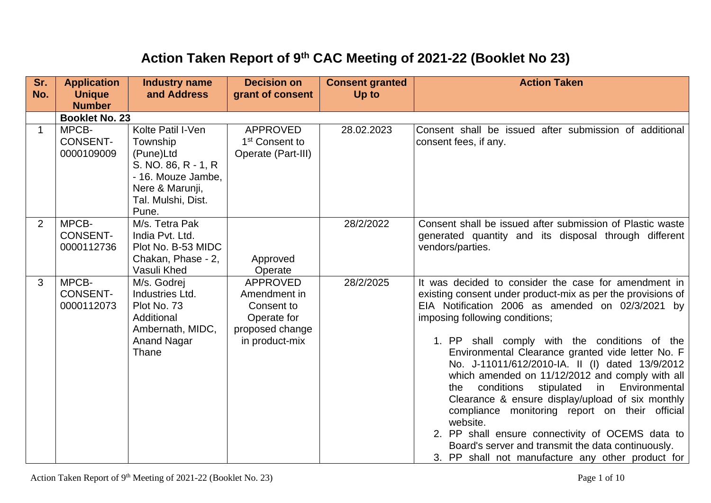## **Action Taken Report of 9th CAC Meeting of 2021-22 (Booklet No 23)**

| Sr.<br>No.  | <b>Application</b><br><b>Unique</b><br><b>Number</b> | <b>Industry name</b><br>and Address                                                                                                       | <b>Decision on</b><br>grant of consent                                                            | <b>Consent granted</b><br>Up to | <b>Action Taken</b>                                                                                                                                                                                                                                                                                                                                                                                                                                                                                                                                                                                                                                                                                                                                              |
|-------------|------------------------------------------------------|-------------------------------------------------------------------------------------------------------------------------------------------|---------------------------------------------------------------------------------------------------|---------------------------------|------------------------------------------------------------------------------------------------------------------------------------------------------------------------------------------------------------------------------------------------------------------------------------------------------------------------------------------------------------------------------------------------------------------------------------------------------------------------------------------------------------------------------------------------------------------------------------------------------------------------------------------------------------------------------------------------------------------------------------------------------------------|
|             | <b>Booklet No. 23</b>                                |                                                                                                                                           |                                                                                                   |                                 |                                                                                                                                                                                                                                                                                                                                                                                                                                                                                                                                                                                                                                                                                                                                                                  |
| $\mathbf 1$ | MPCB-<br><b>CONSENT-</b><br>0000109009               | Kolte Patil I-Ven<br>Township<br>(Pune)Ltd<br>S. NO. 86, R - 1, R<br>- 16. Mouze Jambe,<br>Nere & Marunji,<br>Tal. Mulshi, Dist.<br>Pune. | <b>APPROVED</b><br>1 <sup>st</sup> Consent to<br>Operate (Part-III)                               | 28.02.2023                      | Consent shall be issued after submission of additional<br>consent fees, if any.                                                                                                                                                                                                                                                                                                                                                                                                                                                                                                                                                                                                                                                                                  |
| 2           | MPCB-<br><b>CONSENT-</b><br>0000112736               | M/s. Tetra Pak<br>India Pvt. Ltd.<br>Plot No. B-53 MIDC<br>Chakan, Phase - 2,<br>Vasuli Khed                                              | Approved<br>Operate                                                                               | 28/2/2022                       | Consent shall be issued after submission of Plastic waste<br>generated quantity and its disposal through different<br>vendors/parties.                                                                                                                                                                                                                                                                                                                                                                                                                                                                                                                                                                                                                           |
| 3           | MPCB-<br><b>CONSENT-</b><br>0000112073               | M/s. Godrej<br>Industries Ltd.<br>Plot No. 73<br>Additional<br>Ambernath, MIDC,<br><b>Anand Nagar</b><br>Thane                            | <b>APPROVED</b><br>Amendment in<br>Consent to<br>Operate for<br>proposed change<br>in product-mix | 28/2/2025                       | It was decided to consider the case for amendment in<br>existing consent under product-mix as per the provisions of<br>EIA Notification 2006 as amended on 02/3/2021 by<br>imposing following conditions;<br>1. PP shall comply with the conditions of the<br>Environmental Clearance granted vide letter No. F<br>No. J-11011/612/2010-IA. II (I) dated 13/9/2012<br>which amended on 11/12/2012 and comply with all<br>conditions<br>stipulated<br>Environmental<br>in<br>the<br>Clearance & ensure display/upload of six monthly<br>compliance monitoring report on their official<br>website.<br>2. PP shall ensure connectivity of OCEMS data to<br>Board's server and transmit the data continuously.<br>3. PP shall not manufacture any other product for |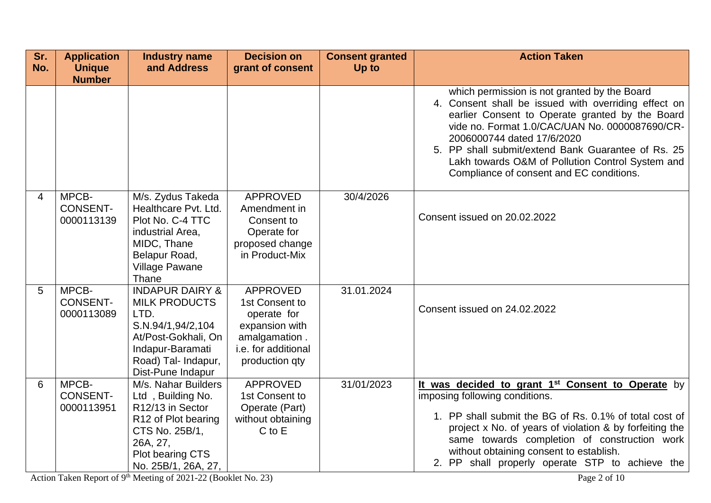| Sr.<br>No. | <b>Application</b><br><b>Unique</b>    | <b>Industry name</b><br>and Address                                                                                                                                       | <b>Decision on</b><br>grant of consent                                                                                       | <b>Consent granted</b><br>Up to | <b>Action Taken</b>                                                                                                                                                                                                                                                                                                                                                                           |
|------------|----------------------------------------|---------------------------------------------------------------------------------------------------------------------------------------------------------------------------|------------------------------------------------------------------------------------------------------------------------------|---------------------------------|-----------------------------------------------------------------------------------------------------------------------------------------------------------------------------------------------------------------------------------------------------------------------------------------------------------------------------------------------------------------------------------------------|
|            | <b>Number</b>                          |                                                                                                                                                                           |                                                                                                                              |                                 |                                                                                                                                                                                                                                                                                                                                                                                               |
|            |                                        |                                                                                                                                                                           |                                                                                                                              |                                 | which permission is not granted by the Board<br>4. Consent shall be issued with overriding effect on<br>earlier Consent to Operate granted by the Board<br>vide no. Format 1.0/CAC/UAN No. 0000087690/CR-<br>2006000744 dated 17/6/2020<br>5. PP shall submit/extend Bank Guarantee of Rs. 25<br>Lakh towards O&M of Pollution Control System and<br>Compliance of consent and EC conditions. |
| 4          | MPCB-<br><b>CONSENT-</b><br>0000113139 | M/s. Zydus Takeda<br>Healthcare Pvt. Ltd.<br>Plot No. C-4 TTC<br>industrial Area,<br>MIDC, Thane<br>Belapur Road,<br><b>Village Pawane</b><br>Thane                       | <b>APPROVED</b><br>Amendment in<br>Consent to<br>Operate for<br>proposed change<br>in Product-Mix                            | 30/4/2026                       | Consent issued on 20.02.2022                                                                                                                                                                                                                                                                                                                                                                  |
| 5          | MPCB-<br><b>CONSENT-</b><br>0000113089 | <b>INDAPUR DAIRY &amp;</b><br><b>MILK PRODUCTS</b><br>LTD.<br>S.N.94/1,94/2,104<br>At/Post-Gokhali, On<br>Indapur-Baramati<br>Road) Tal- Indapur,<br>Dist-Pune Indapur    | <b>APPROVED</b><br>1st Consent to<br>operate for<br>expansion with<br>amalgamation.<br>i.e. for additional<br>production qty | 31.01.2024                      | Consent issued on 24.02.2022                                                                                                                                                                                                                                                                                                                                                                  |
| 6          | MPCB-<br><b>CONSENT-</b><br>0000113951 | M/s. Nahar Builders<br>Ltd, Building No.<br>R <sub>12</sub> /13 in Sector<br>R12 of Plot bearing<br>CTS No. 25B/1,<br>26A, 27,<br>Plot bearing CTS<br>No. 25B/1, 26A, 27, | <b>APPROVED</b><br>1st Consent to<br>Operate (Part)<br>without obtaining<br>$C$ to $E$                                       | 31/01/2023                      | It was decided to grant 1 <sup>st</sup> Consent to Operate by<br>imposing following conditions.<br>1. PP shall submit the BG of Rs. 0.1% of total cost of<br>project x No. of years of violation & by forfeiting the<br>same towards completion of construction work<br>without obtaining consent to establish.<br>2. PP shall properly operate STP to achieve the                            |

Action Taken Report of 9<sup>th</sup> Meeting of 2021-22 (Booklet No. 23) Page 2 of 10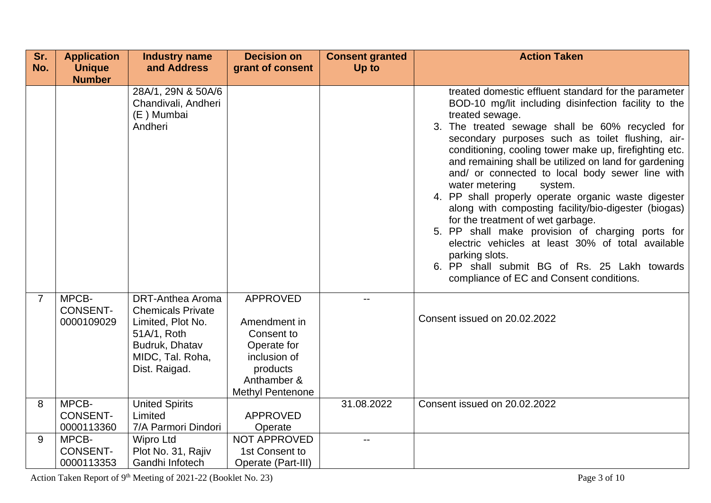| Sr.            | <b>Application</b>                     | <b>Industry name</b>                                                                                                                           | <b>Decision on</b>                                                                                                                 | <b>Consent granted</b> | <b>Action Taken</b>                                                                                                                                                                                                                                                                                                                                                                                                                                                                                                                                                                                                                                                                                                                                                                                                  |
|----------------|----------------------------------------|------------------------------------------------------------------------------------------------------------------------------------------------|------------------------------------------------------------------------------------------------------------------------------------|------------------------|----------------------------------------------------------------------------------------------------------------------------------------------------------------------------------------------------------------------------------------------------------------------------------------------------------------------------------------------------------------------------------------------------------------------------------------------------------------------------------------------------------------------------------------------------------------------------------------------------------------------------------------------------------------------------------------------------------------------------------------------------------------------------------------------------------------------|
| No.            | <b>Unique</b><br><b>Number</b>         | and Address                                                                                                                                    | grant of consent                                                                                                                   | Up to                  |                                                                                                                                                                                                                                                                                                                                                                                                                                                                                                                                                                                                                                                                                                                                                                                                                      |
|                |                                        | 28A/1, 29N & 50A/6<br>Chandivali, Andheri<br>(E) Mumbai<br>Andheri                                                                             |                                                                                                                                    |                        | treated domestic effluent standard for the parameter<br>BOD-10 mg/lit including disinfection facility to the<br>treated sewage.<br>3. The treated sewage shall be 60% recycled for<br>secondary purposes such as toilet flushing, air-<br>conditioning, cooling tower make up, firefighting etc.<br>and remaining shall be utilized on land for gardening<br>and/ or connected to local body sewer line with<br>water metering<br>system.<br>4. PP shall properly operate organic waste digester<br>along with composting facility/bio-digester (biogas)<br>for the treatment of wet garbage.<br>5. PP shall make provision of charging ports for<br>electric vehicles at least 30% of total available<br>parking slots.<br>6. PP shall submit BG of Rs. 25 Lakh towards<br>compliance of EC and Consent conditions. |
| $\overline{7}$ | MPCB-<br><b>CONSENT-</b><br>0000109029 | <b>DRT-Anthea Aroma</b><br><b>Chemicals Private</b><br>Limited, Plot No.<br>51A/1, Roth<br>Budruk, Dhatav<br>MIDC, Tal. Roha,<br>Dist. Raigad. | <b>APPROVED</b><br>Amendment in<br>Consent to<br>Operate for<br>inclusion of<br>products<br>Anthamber &<br><b>Methyl Pentenone</b> | $- -$                  | Consent issued on 20.02.2022                                                                                                                                                                                                                                                                                                                                                                                                                                                                                                                                                                                                                                                                                                                                                                                         |
| 8              | MPCB-<br><b>CONSENT-</b><br>0000113360 | <b>United Spirits</b><br>Limited<br>7/A Parmori Dindori                                                                                        | <b>APPROVED</b><br>Operate                                                                                                         | 31.08.2022             | Consent issued on 20.02.2022                                                                                                                                                                                                                                                                                                                                                                                                                                                                                                                                                                                                                                                                                                                                                                                         |
| 9              | MPCB-<br><b>CONSENT-</b><br>0000113353 | <b>Wipro Ltd</b><br>Plot No. 31, Rajiv<br>Gandhi Infotech                                                                                      | NOT APPROVED<br>1st Consent to<br>Operate (Part-III)                                                                               |                        |                                                                                                                                                                                                                                                                                                                                                                                                                                                                                                                                                                                                                                                                                                                                                                                                                      |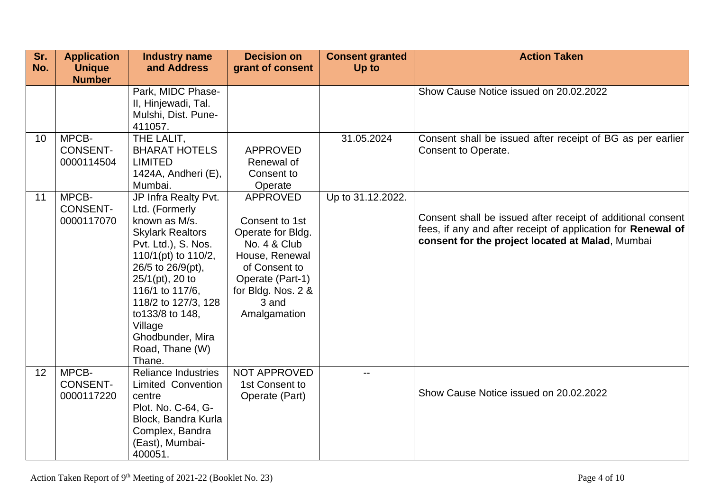| Sr. | <b>Application</b>                     | <b>Industry name</b>                                                                                                                                                                                                                                                                                 | <b>Decision on</b>                                                                                                                                                           | <b>Consent granted</b> | <b>Action Taken</b>                                                                                                                                                             |
|-----|----------------------------------------|------------------------------------------------------------------------------------------------------------------------------------------------------------------------------------------------------------------------------------------------------------------------------------------------------|------------------------------------------------------------------------------------------------------------------------------------------------------------------------------|------------------------|---------------------------------------------------------------------------------------------------------------------------------------------------------------------------------|
| No. | <b>Unique</b><br><b>Number</b>         | and Address                                                                                                                                                                                                                                                                                          | grant of consent                                                                                                                                                             | Up to                  |                                                                                                                                                                                 |
|     |                                        | Park, MIDC Phase-<br>II, Hinjewadi, Tal.<br>Mulshi, Dist. Pune-<br>411057.                                                                                                                                                                                                                           |                                                                                                                                                                              |                        | Show Cause Notice issued on 20.02.2022                                                                                                                                          |
| 10  | MPCB-<br><b>CONSENT-</b><br>0000114504 | THE LALIT,<br><b>BHARAT HOTELS</b><br><b>LIMITED</b><br>1424A, Andheri (E),<br>Mumbai.                                                                                                                                                                                                               | <b>APPROVED</b><br>Renewal of<br>Consent to<br>Operate                                                                                                                       | 31.05.2024             | Consent shall be issued after receipt of BG as per earlier<br>Consent to Operate.                                                                                               |
| 11  | MPCB-<br><b>CONSENT-</b><br>0000117070 | JP Infra Realty Pvt.<br>Ltd. (Formerly<br>known as M/s.<br><b>Skylark Realtors</b><br>Pvt. Ltd.), S. Nos.<br>110/1(pt) to 110/2,<br>26/5 to 26/9(pt),<br>$25/1(pt)$ , 20 to<br>116/1 to 117/6,<br>118/2 to 127/3, 128<br>to133/8 to 148,<br>Village<br>Ghodbunder, Mira<br>Road, Thane (W)<br>Thane. | <b>APPROVED</b><br>Consent to 1st<br>Operate for Bldg.<br>No. 4 & Club<br>House, Renewal<br>of Consent to<br>Operate (Part-1)<br>for Bldg. Nos. 2 &<br>3 and<br>Amalgamation | Up to 31.12.2022.      | Consent shall be issued after receipt of additional consent<br>fees, if any and after receipt of application for Renewal of<br>consent for the project located at Malad, Mumbai |
| 12  | MPCB-<br><b>CONSENT-</b><br>0000117220 | <b>Reliance Industries</b><br><b>Limited Convention</b><br>centre<br>Plot. No. C-64, G-<br>Block, Bandra Kurla<br>Complex, Bandra<br>(East), Mumbai-<br>400051.                                                                                                                                      | NOT APPROVED<br>1st Consent to<br>Operate (Part)                                                                                                                             | $- -$                  | Show Cause Notice issued on 20.02.2022                                                                                                                                          |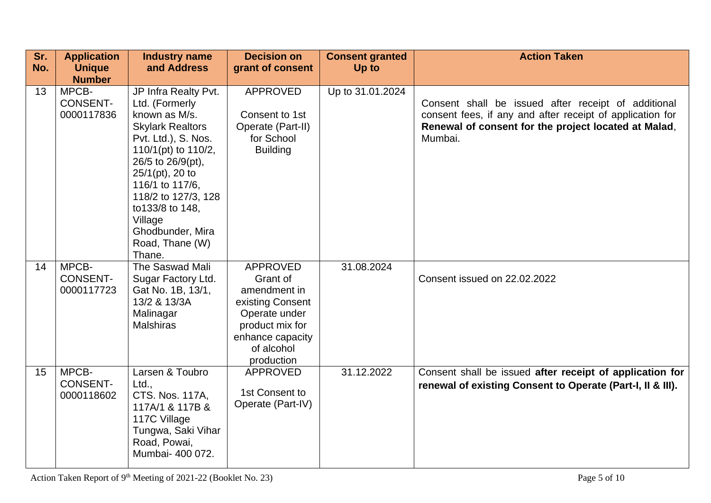| Sr.<br>No. | <b>Application</b><br><b>Unique</b><br><b>Number</b> | <b>Industry name</b><br>and Address                                                                                                                                                                                                                                                                  | <b>Decision on</b><br>grant of consent                                                                                                       | <b>Consent granted</b><br>Up to | <b>Action Taken</b>                                                                                                                                                                 |
|------------|------------------------------------------------------|------------------------------------------------------------------------------------------------------------------------------------------------------------------------------------------------------------------------------------------------------------------------------------------------------|----------------------------------------------------------------------------------------------------------------------------------------------|---------------------------------|-------------------------------------------------------------------------------------------------------------------------------------------------------------------------------------|
| 13         | MPCB-<br><b>CONSENT-</b><br>0000117836               | JP Infra Realty Pvt.<br>Ltd. (Formerly<br>known as M/s.<br><b>Skylark Realtors</b><br>Pvt. Ltd.), S. Nos.<br>110/1(pt) to 110/2,<br>26/5 to 26/9(pt),<br>$25/1$ (pt), 20 to<br>116/1 to 117/6,<br>118/2 to 127/3, 128<br>to133/8 to 148,<br>Village<br>Ghodbunder, Mira<br>Road, Thane (W)<br>Thane. | <b>APPROVED</b><br>Consent to 1st<br>Operate (Part-II)<br>for School<br><b>Building</b>                                                      | Up to 31.01.2024                | Consent shall be issued after receipt of additional<br>consent fees, if any and after receipt of application for<br>Renewal of consent for the project located at Malad,<br>Mumbai. |
| 14         | MPCB-<br><b>CONSENT-</b><br>0000117723               | The Saswad Mali<br>Sugar Factory Ltd.<br>Gat No. 1B, 13/1,<br>13/2 & 13/3A<br>Malinagar<br><b>Malshiras</b>                                                                                                                                                                                          | APPROVED<br>Grant of<br>amendment in<br>existing Consent<br>Operate under<br>product mix for<br>enhance capacity<br>of alcohol<br>production | 31.08.2024                      | Consent issued on 22.02.2022                                                                                                                                                        |
| 15         | MPCB-<br><b>CONSENT-</b><br>0000118602               | Larsen & Toubro<br>Ltd.,<br>CTS. Nos. 117A,<br>117A/1 & 117B &<br>117C Village<br>Tungwa, Saki Vihar<br>Road, Powai,<br>Mumbai- 400 072.                                                                                                                                                             | <b>APPROVED</b><br>1st Consent to<br>Operate (Part-IV)                                                                                       | 31.12.2022                      | Consent shall be issued after receipt of application for<br>renewal of existing Consent to Operate (Part-I, II & III).                                                              |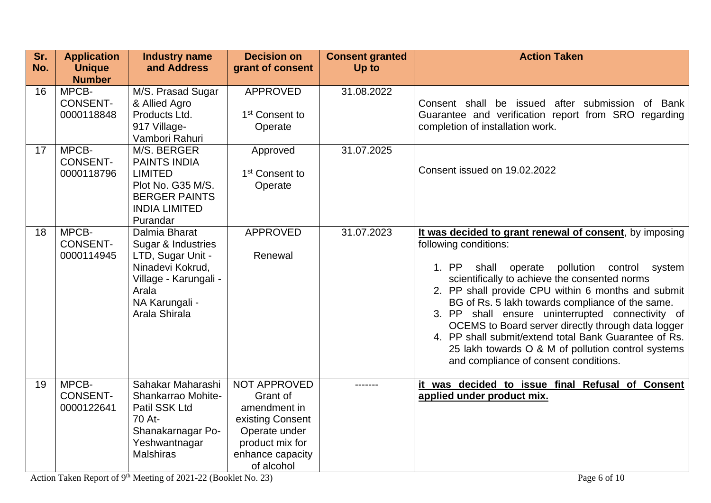| Sr.<br>No. | <b>Application</b><br><b>Unique</b>    | <b>Industry name</b><br>and Address                                                                                                               | <b>Decision on</b><br>grant of consent                                                                                                    | <b>Consent granted</b><br>Up to | <b>Action Taken</b>                                                                                                                                                                                                                                                                                                                                                                                                                                                                                                                                              |
|------------|----------------------------------------|---------------------------------------------------------------------------------------------------------------------------------------------------|-------------------------------------------------------------------------------------------------------------------------------------------|---------------------------------|------------------------------------------------------------------------------------------------------------------------------------------------------------------------------------------------------------------------------------------------------------------------------------------------------------------------------------------------------------------------------------------------------------------------------------------------------------------------------------------------------------------------------------------------------------------|
|            | <b>Number</b>                          |                                                                                                                                                   |                                                                                                                                           |                                 |                                                                                                                                                                                                                                                                                                                                                                                                                                                                                                                                                                  |
| 16         | MPCB-<br><b>CONSENT-</b><br>0000118848 | M/S. Prasad Sugar<br>& Allied Agro<br>Products Ltd.<br>917 Village-<br>Vambori Rahuri                                                             | <b>APPROVED</b><br>1 <sup>st</sup> Consent to<br>Operate                                                                                  | 31.08.2022                      | Consent shall be issued after submission of Bank<br>Guarantee and verification report from SRO regarding<br>completion of installation work.                                                                                                                                                                                                                                                                                                                                                                                                                     |
| 17         | MPCB-<br><b>CONSENT-</b><br>0000118796 | M/S. BERGER<br><b>PAINTS INDIA</b><br><b>LIMITED</b><br>Plot No. G35 M/S.<br><b>BERGER PAINTS</b><br><b>INDIA LIMITED</b><br>Purandar             | Approved<br>1 <sup>st</sup> Consent to<br>Operate                                                                                         | 31.07.2025                      | Consent issued on 19.02.2022                                                                                                                                                                                                                                                                                                                                                                                                                                                                                                                                     |
| 18         | MPCB-<br><b>CONSENT-</b><br>0000114945 | Dalmia Bharat<br>Sugar & Industries<br>LTD, Sugar Unit -<br>Ninadevi Kokrud,<br>Village - Karungali -<br>Arala<br>NA Karungali -<br>Arala Shirala | <b>APPROVED</b><br>Renewal                                                                                                                | 31.07.2023                      | It was decided to grant renewal of consent, by imposing<br>following conditions:<br>1. PP<br>shall operate pollution control system<br>scientifically to achieve the consented norms<br>2. PP shall provide CPU within 6 months and submit<br>BG of Rs. 5 lakh towards compliance of the same.<br>3. PP shall ensure uninterrupted connectivity of<br>OCEMS to Board server directly through data logger<br>4. PP shall submit/extend total Bank Guarantee of Rs.<br>25 lakh towards O & M of pollution control systems<br>and compliance of consent conditions. |
| 19         | MPCB-<br><b>CONSENT-</b><br>0000122641 | Sahakar Maharashi<br>Shankarrao Mohite-<br>Patil SSK Ltd<br>70 At-<br>Shanakarnagar Po-<br>Yeshwantnagar<br><b>Malshiras</b>                      | <b>NOT APPROVED</b><br>Grant of<br>amendment in<br>existing Consent<br>Operate under<br>product mix for<br>enhance capacity<br>of alcohol |                                 | it was decided to issue final Refusal of Consent<br>applied under product mix.                                                                                                                                                                                                                                                                                                                                                                                                                                                                                   |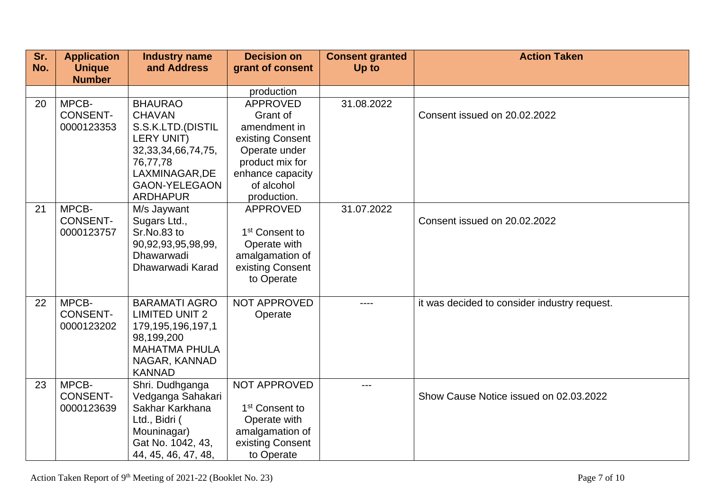| Sr. | <b>Application</b>             | <b>Industry name</b>            | <b>Decision on</b>         | <b>Consent granted</b> | <b>Action Taken</b>                          |
|-----|--------------------------------|---------------------------------|----------------------------|------------------------|----------------------------------------------|
| No. | <b>Unique</b><br><b>Number</b> | and Address                     | grant of consent           | Up to                  |                                              |
|     |                                |                                 | production                 |                        |                                              |
| 20  | MPCB-                          | <b>BHAURAO</b>                  | <b>APPROVED</b>            | 31.08.2022             |                                              |
|     | <b>CONSENT-</b>                | <b>CHAVAN</b>                   | Grant of                   |                        | Consent issued on 20.02.2022                 |
|     | 0000123353                     | S.S.K.LTD.(DISTIL               | amendment in               |                        |                                              |
|     |                                | <b>LERY UNIT)</b>               | existing Consent           |                        |                                              |
|     |                                | 32, 33, 34, 66, 74, 75,         | Operate under              |                        |                                              |
|     |                                | 76,77,78                        | product mix for            |                        |                                              |
|     |                                | LAXMINAGAR, DE                  | enhance capacity           |                        |                                              |
|     |                                | <b>GAON-YELEGAON</b>            | of alcohol                 |                        |                                              |
|     |                                | <b>ARDHAPUR</b>                 | production.                |                        |                                              |
| 21  | MPCB-                          | M/s Jaywant                     | <b>APPROVED</b>            | 31.07.2022             |                                              |
|     | <b>CONSENT-</b>                | Sugars Ltd.,                    |                            |                        | Consent issued on 20.02.2022                 |
|     | 0000123757                     | Sr.No.83 to                     | 1 <sup>st</sup> Consent to |                        |                                              |
|     |                                | 90,92,93,95,98,99,              | Operate with               |                        |                                              |
|     |                                | Dhawarwadi                      | amalgamation of            |                        |                                              |
|     |                                | Dhawarwadi Karad                | existing Consent           |                        |                                              |
|     |                                |                                 | to Operate                 |                        |                                              |
|     |                                |                                 |                            |                        |                                              |
| 22  | MPCB-                          | <b>BARAMATI AGRO</b>            | <b>NOT APPROVED</b>        | ----                   | it was decided to consider industry request. |
|     | <b>CONSENT-</b>                | <b>LIMITED UNIT 2</b>           | Operate                    |                        |                                              |
|     | 0000123202                     | 179,195,196,197,1<br>98,199,200 |                            |                        |                                              |
|     |                                | <b>MAHATMA PHULA</b>            |                            |                        |                                              |
|     |                                | NAGAR, KANNAD                   |                            |                        |                                              |
|     |                                | <b>KANNAD</b>                   |                            |                        |                                              |
| 23  | MPCB-                          | Shri. Dudhganga                 | NOT APPROVED               | ---                    |                                              |
|     | <b>CONSENT-</b>                | Vedganga Sahakari               |                            |                        | Show Cause Notice issued on 02.03.2022       |
|     | 0000123639                     | Sakhar Karkhana                 | 1 <sup>st</sup> Consent to |                        |                                              |
|     |                                | Ltd., Bidri (                   | Operate with               |                        |                                              |
|     |                                | Mouninagar)                     | amalgamation of            |                        |                                              |
|     |                                | Gat No. 1042, 43,               | existing Consent           |                        |                                              |
|     |                                | 44, 45, 46, 47, 48,             | to Operate                 |                        |                                              |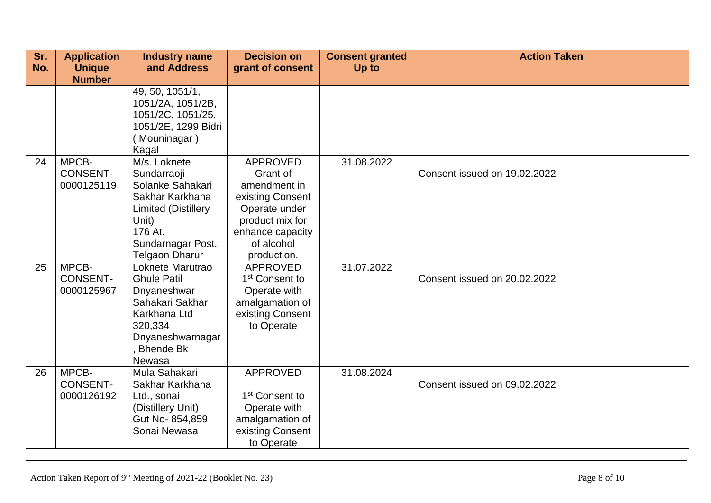| Sr.<br>No. | <b>Application</b><br><b>Unique</b><br><b>Number</b> | <b>Industry name</b><br>and Address                                                                                                                                | <b>Decision on</b><br>grant of consent                                                                                                               | <b>Consent granted</b><br>Up to | <b>Action Taken</b>          |
|------------|------------------------------------------------------|--------------------------------------------------------------------------------------------------------------------------------------------------------------------|------------------------------------------------------------------------------------------------------------------------------------------------------|---------------------------------|------------------------------|
|            |                                                      | 49, 50, 1051/1,<br>1051/2A, 1051/2B,<br>1051/2C, 1051/25,<br>1051/2E, 1299 Bidri<br>Mouninagar)<br>Kagal                                                           |                                                                                                                                                      |                                 |                              |
| 24         | MPCB-<br><b>CONSENT-</b><br>0000125119               | M/s. Loknete<br>Sundarraoji<br>Solanke Sahakari<br>Sakhar Karkhana<br><b>Limited (Distillery</b><br>Unit)<br>176 At.<br>Sundarnagar Post.<br><b>Telgaon Dharur</b> | <b>APPROVED</b><br>Grant of<br>amendment in<br>existing Consent<br>Operate under<br>product mix for<br>enhance capacity<br>of alcohol<br>production. | 31.08.2022                      | Consent issued on 19.02.2022 |
| 25         | MPCB-<br><b>CONSENT-</b><br>0000125967               | Loknete Marutrao<br><b>Ghule Patil</b><br>Dnyaneshwar<br>Sahakari Sakhar<br>Karkhana Ltd<br>320,334<br>Dnyaneshwarnagar<br><b>Bhende Bk</b><br>Newasa              | <b>APPROVED</b><br>1 <sup>st</sup> Consent to<br>Operate with<br>amalgamation of<br>existing Consent<br>to Operate                                   | 31.07.2022                      | Consent issued on 20.02.2022 |
| 26         | MPCB-<br><b>CONSENT-</b><br>0000126192               | Mula Sahakari<br>Sakhar Karkhana<br>Ltd., sonai<br>(Distillery Unit)<br>Gut No- 854,859<br>Sonai Newasa                                                            | <b>APPROVED</b><br>1 <sup>st</sup> Consent to<br>Operate with<br>amalgamation of<br>existing Consent<br>to Operate                                   | 31.08.2024                      | Consent issued on 09.02.2022 |